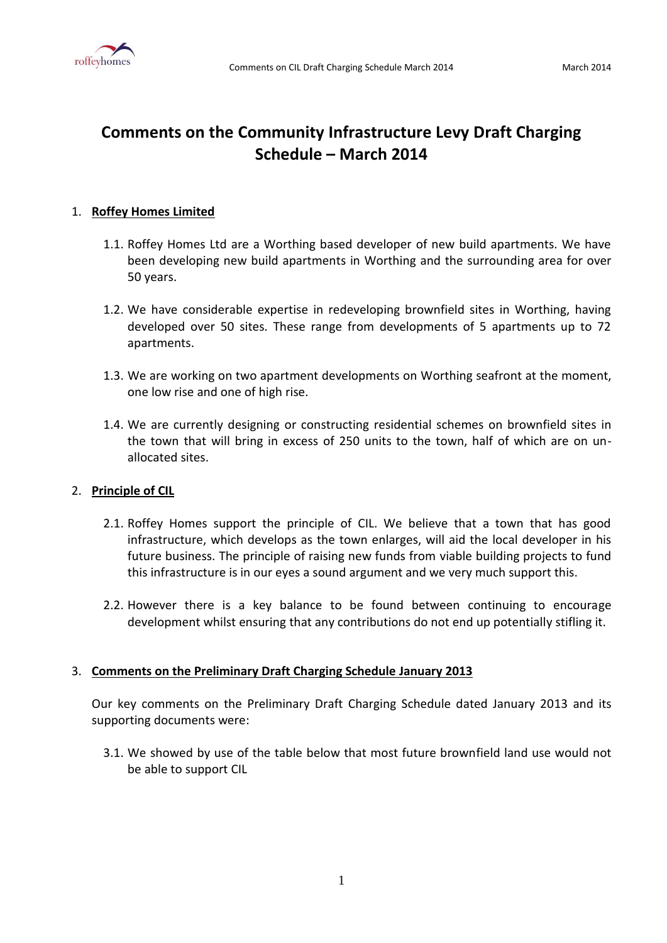

# **Comments on the Community Infrastructure Levy Draft Charging Schedule – March 2014**

# 1. **Roffey Homes Limited**

- 1.1. Roffey Homes Ltd are a Worthing based developer of new build apartments. We have been developing new build apartments in Worthing and the surrounding area for over 50 years.
- 1.2. We have considerable expertise in redeveloping brownfield sites in Worthing, having developed over 50 sites. These range from developments of 5 apartments up to 72 apartments.
- 1.3. We are working on two apartment developments on Worthing seafront at the moment, one low rise and one of high rise.
- 1.4. We are currently designing or constructing residential schemes on brownfield sites in the town that will bring in excess of 250 units to the town, half of which are on unallocated sites.

# 2. **Principle of CIL**

- 2.1. Roffey Homes support the principle of CIL. We believe that a town that has good infrastructure, which develops as the town enlarges, will aid the local developer in his future business. The principle of raising new funds from viable building projects to fund this infrastructure is in our eyes a sound argument and we very much support this.
- 2.2. However there is a key balance to be found between continuing to encourage development whilst ensuring that any contributions do not end up potentially stifling it.

# 3. **Comments on the Preliminary Draft Charging Schedule January 2013**

Our key comments on the Preliminary Draft Charging Schedule dated January 2013 and its supporting documents were:

3.1. We showed by use of the table below that most future brownfield land use would not be able to support CIL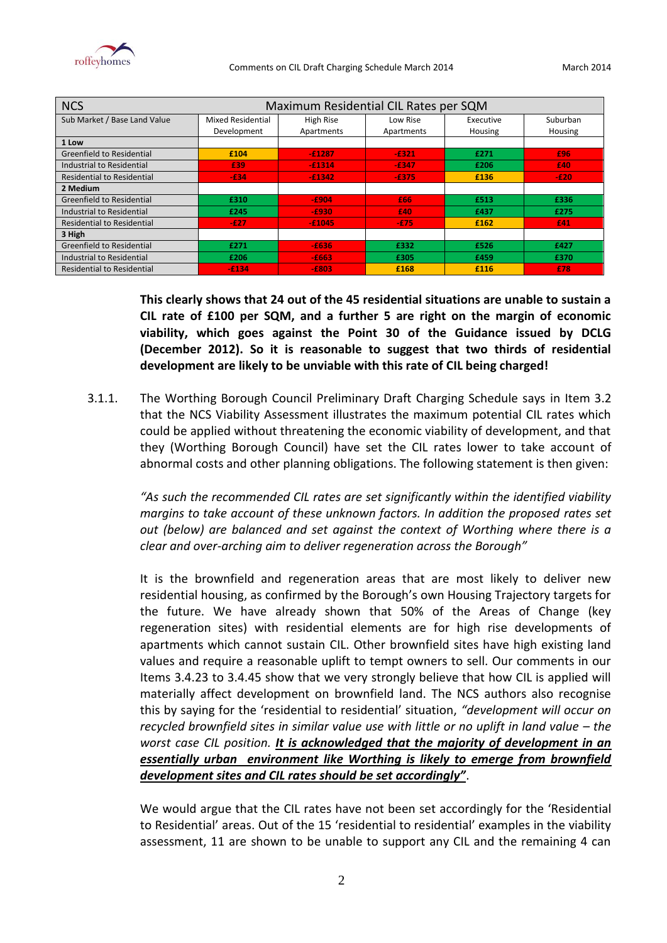

| <b>NCS</b>                        | Maximum Residential CIL Rates per SQM |            |            |           |          |  |  |
|-----------------------------------|---------------------------------------|------------|------------|-----------|----------|--|--|
| Sub Market / Base Land Value      | Mixed Residential                     | High Rise  | Low Rise   | Executive | Suburban |  |  |
|                                   | Development                           | Apartments | Apartments | Housing   | Housing  |  |  |
| 1 Low                             |                                       |            |            |           |          |  |  |
| <b>Greenfield to Residential</b>  | £104                                  | $-£1287$   | $-E321$    | £271      | £96      |  |  |
| Industrial to Residential         | £39                                   | $-£1314$   | $-6347$    | £206      | £40      |  |  |
| <b>Residential to Residential</b> | $-634$                                | $-£1342$   | $-6375$    | £136      | $-E20$   |  |  |
| 2 Medium                          |                                       |            |            |           |          |  |  |
| Greenfield to Residential         | £310                                  | $-£904$    | £66        | £513      | £336     |  |  |
| Industrial to Residential         | £245                                  | $-E930$    | £40        | £437      | £275     |  |  |
| <b>Residential to Residential</b> | -£27                                  | $-£1045$   | $-575$     | £162      | £41      |  |  |
| 3 High                            |                                       |            |            |           |          |  |  |
| Greenfield to Residential         | £271                                  | $-£636$    | £332       | £526      | £427     |  |  |
| Industrial to Residential         | £206                                  | $-6663$    | £305       | £459      | £370     |  |  |
| <b>Residential to Residential</b> | $-£134$                               | $-£803$    | £168       | £116      | £78      |  |  |

**This clearly shows that 24 out of the 45 residential situations are unable to sustain a CIL rate of £100 per SQM, and a further 5 are right on the margin of economic viability, which goes against the Point 30 of the Guidance issued by DCLG (December 2012). So it is reasonable to suggest that two thirds of residential development are likely to be unviable with this rate of CIL being charged!**

3.1.1. The Worthing Borough Council Preliminary Draft Charging Schedule says in Item 3.2 that the NCS Viability Assessment illustrates the maximum potential CIL rates which could be applied without threatening the economic viability of development, and that they (Worthing Borough Council) have set the CIL rates lower to take account of abnormal costs and other planning obligations. The following statement is then given:

> *"As such the recommended CIL rates are set significantly within the identified viability margins to take account of these unknown factors. In addition the proposed rates set out (below) are balanced and set against the context of Worthing where there is a clear and over-arching aim to deliver regeneration across the Borough"*

> It is the brownfield and regeneration areas that are most likely to deliver new residential housing, as confirmed by the Borough's own Housing Trajectory targets for the future. We have already shown that 50% of the Areas of Change (key regeneration sites) with residential elements are for high rise developments of apartments which cannot sustain CIL. Other brownfield sites have high existing land values and require a reasonable uplift to tempt owners to sell. Our comments in our Items 3.4.23 to 3.4.45 show that we very strongly believe that how CIL is applied will materially affect development on brownfield land. The NCS authors also recognise this by saying for the 'residential to residential' situation, *"development will occur on recycled brownfield sites in similar value use with little or no uplift in land value – the worst case CIL position. It is acknowledged that the majority of development in an essentially urban environment like Worthing is likely to emerge from brownfield development sites and CIL rates should be set accordingly"*.

> We would argue that the CIL rates have not been set accordingly for the 'Residential to Residential' areas. Out of the 15 'residential to residential' examples in the viability assessment, 11 are shown to be unable to support any CIL and the remaining 4 can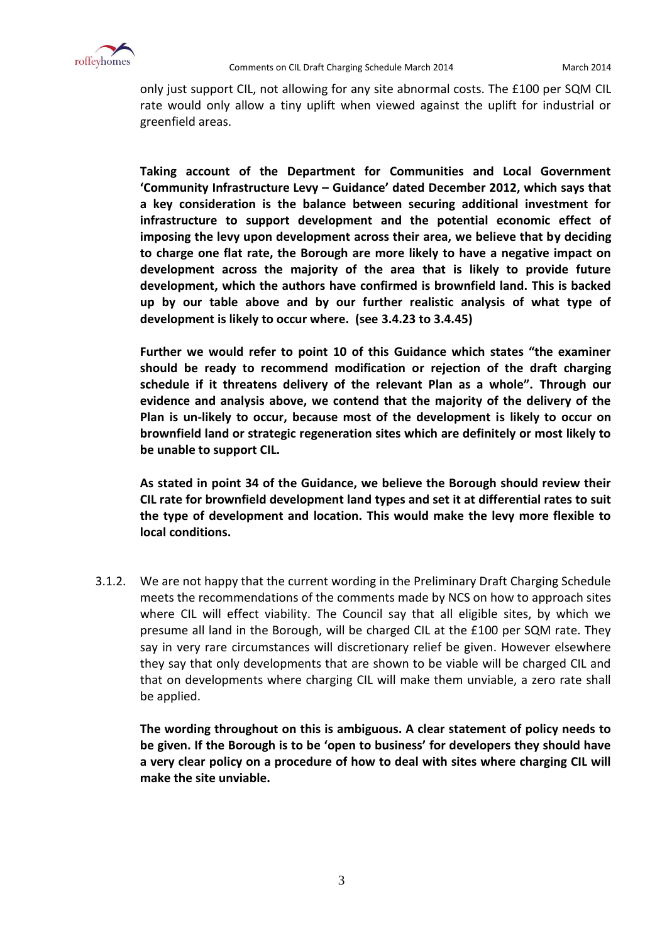

only just support CIL, not allowing for any site abnormal costs. The £100 per SQM CIL rate would only allow a tiny uplift when viewed against the uplift for industrial or greenfield areas.

**Taking account of the Department for Communities and Local Government 'Community Infrastructure Levy – Guidance' dated December 2012, which says that a key consideration is the balance between securing additional investment for infrastructure to support development and the potential economic effect of imposing the levy upon development across their area, we believe that by deciding to charge one flat rate, the Borough are more likely to have a negative impact on development across the majority of the area that is likely to provide future development, which the authors have confirmed is brownfield land. This is backed up by our table above and by our further realistic analysis of what type of development is likely to occur where. (see 3.4.23 to 3.4.45)**

**Further we would refer to point 10 of this Guidance which states "the examiner should be ready to recommend modification or rejection of the draft charging schedule if it threatens delivery of the relevant Plan as a whole". Through our evidence and analysis above, we contend that the majority of the delivery of the Plan is un-likely to occur, because most of the development is likely to occur on brownfield land or strategic regeneration sites which are definitely or most likely to be unable to support CIL.**

**As stated in point 34 of the Guidance, we believe the Borough should review their CIL rate for brownfield development land types and set it at differential rates to suit the type of development and location. This would make the levy more flexible to local conditions.** 

3.1.2. We are not happy that the current wording in the Preliminary Draft Charging Schedule meets the recommendations of the comments made by NCS on how to approach sites where CIL will effect viability. The Council say that all eligible sites, by which we presume all land in the Borough, will be charged CIL at the £100 per SQM rate. They say in very rare circumstances will discretionary relief be given. However elsewhere they say that only developments that are shown to be viable will be charged CIL and that on developments where charging CIL will make them unviable, a zero rate shall be applied.

**The wording throughout on this is ambiguous. A clear statement of policy needs to be given. If the Borough is to be 'open to business' for developers they should have a very clear policy on a procedure of how to deal with sites where charging CIL will make the site unviable.**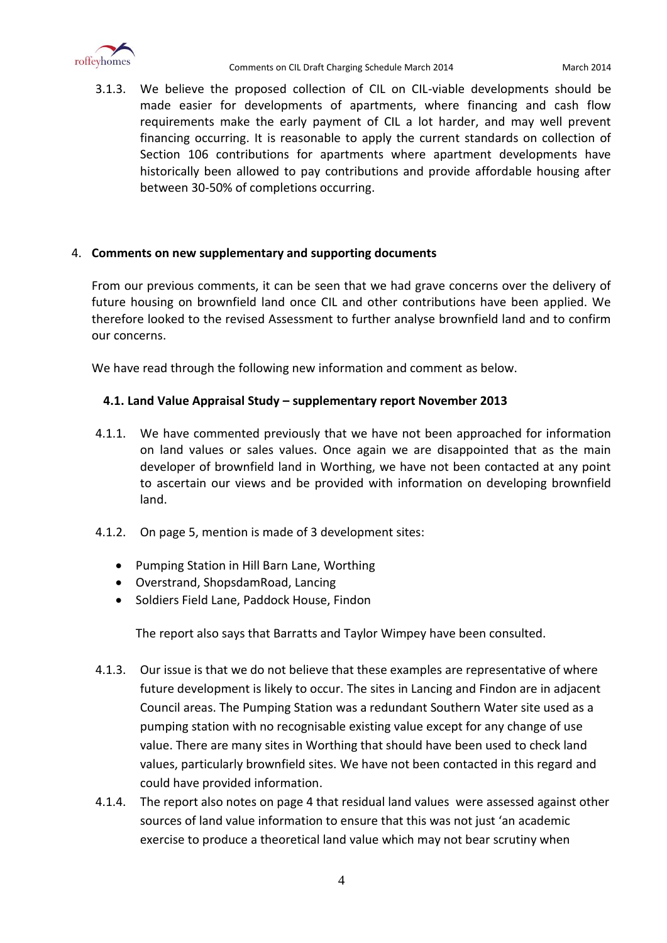

3.1.3. We believe the proposed collection of CIL on CIL-viable developments should be made easier for developments of apartments, where financing and cash flow requirements make the early payment of CIL a lot harder, and may well prevent financing occurring. It is reasonable to apply the current standards on collection of Section 106 contributions for apartments where apartment developments have historically been allowed to pay contributions and provide affordable housing after between 30-50% of completions occurring.

# 4. **Comments on new supplementary and supporting documents**

From our previous comments, it can be seen that we had grave concerns over the delivery of future housing on brownfield land once CIL and other contributions have been applied. We therefore looked to the revised Assessment to further analyse brownfield land and to confirm our concerns.

We have read through the following new information and comment as below.

# **4.1. Land Value Appraisal Study – supplementary report November 2013**

- 4.1.1. We have commented previously that we have not been approached for information on land values or sales values. Once again we are disappointed that as the main developer of brownfield land in Worthing, we have not been contacted at any point to ascertain our views and be provided with information on developing brownfield land.
- 4.1.2. On page 5, mention is made of 3 development sites:
	- Pumping Station in Hill Barn Lane, Worthing
	- Overstrand, ShopsdamRoad, Lancing
	- Soldiers Field Lane, Paddock House, Findon

The report also says that Barratts and Taylor Wimpey have been consulted.

- 4.1.3. Our issue is that we do not believe that these examples are representative of where future development is likely to occur. The sites in Lancing and Findon are in adjacent Council areas. The Pumping Station was a redundant Southern Water site used as a pumping station with no recognisable existing value except for any change of use value. There are many sites in Worthing that should have been used to check land values, particularly brownfield sites. We have not been contacted in this regard and could have provided information.
- 4.1.4. The report also notes on page 4 that residual land values were assessed against other sources of land value information to ensure that this was not just 'an academic exercise to produce a theoretical land value which may not bear scrutiny when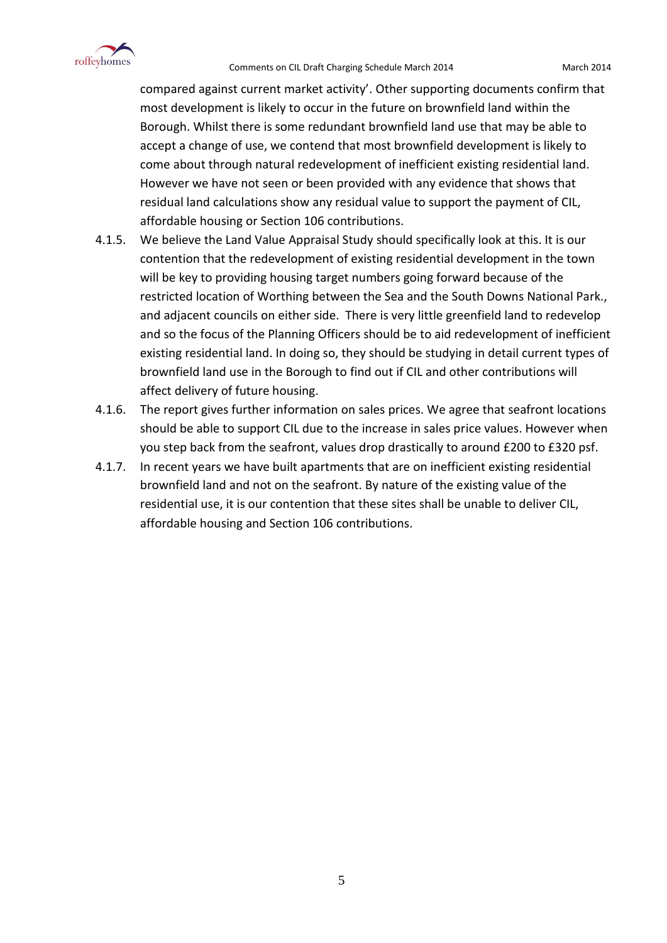

#### Comments on CIL Draft Charging Schedule March 2014 March 2014

compared against current market activity'. Other supporting documents confirm that most development is likely to occur in the future on brownfield land within the Borough. Whilst there is some redundant brownfield land use that may be able to accept a change of use, we contend that most brownfield development is likely to come about through natural redevelopment of inefficient existing residential land. However we have not seen or been provided with any evidence that shows that residual land calculations show any residual value to support the payment of CIL, affordable housing or Section 106 contributions.

- 4.1.5. We believe the Land Value Appraisal Study should specifically look at this. It is our contention that the redevelopment of existing residential development in the town will be key to providing housing target numbers going forward because of the restricted location of Worthing between the Sea and the South Downs National Park., and adjacent councils on either side. There is very little greenfield land to redevelop and so the focus of the Planning Officers should be to aid redevelopment of inefficient existing residential land. In doing so, they should be studying in detail current types of brownfield land use in the Borough to find out if CIL and other contributions will affect delivery of future housing.
- 4.1.6. The report gives further information on sales prices. We agree that seafront locations should be able to support CIL due to the increase in sales price values. However when you step back from the seafront, values drop drastically to around £200 to £320 psf.
- 4.1.7. In recent years we have built apartments that are on inefficient existing residential brownfield land and not on the seafront. By nature of the existing value of the residential use, it is our contention that these sites shall be unable to deliver CIL, affordable housing and Section 106 contributions.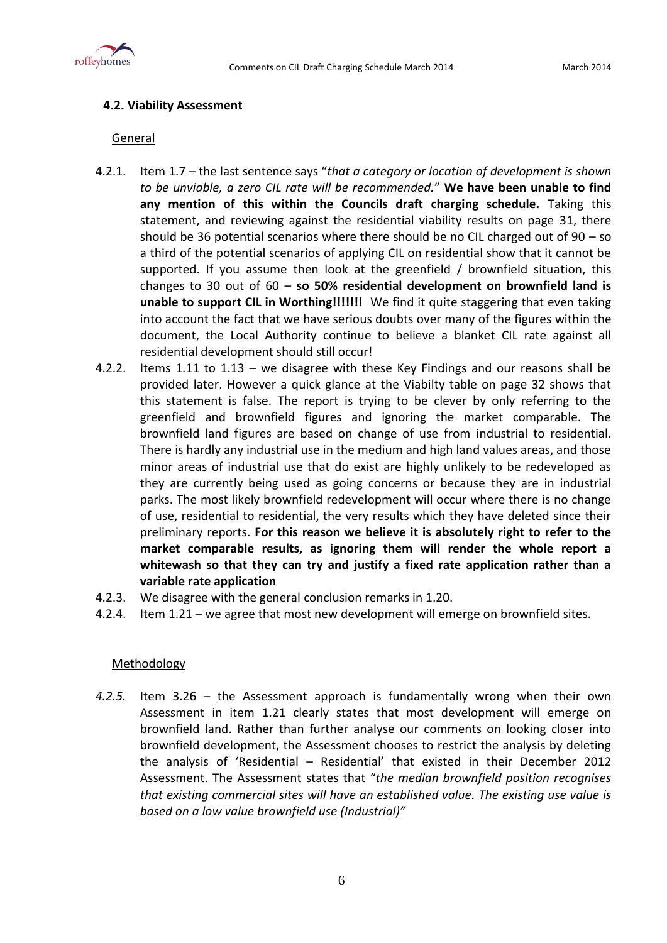

# **4.2. Viability Assessment**

## **General**

- 4.2.1. Item 1.7 the last sentence says "*that a category or location of development is shown to be unviable, a zero CIL rate will be recommended.*" **We have been unable to find any mention of this within the Councils draft charging schedule.** Taking this statement, and reviewing against the residential viability results on page 31, there should be 36 potential scenarios where there should be no CIL charged out of 90 – so a third of the potential scenarios of applying CIL on residential show that it cannot be supported. If you assume then look at the greenfield / brownfield situation, this changes to 30 out of 60 – **so 50% residential development on brownfield land is unable to support CIL in Worthing!!!!!!!** We find it quite staggering that even taking into account the fact that we have serious doubts over many of the figures within the document, the Local Authority continue to believe a blanket CIL rate against all residential development should still occur!
- 4.2.2. Items 1.11 to 1.13 we disagree with these Key Findings and our reasons shall be provided later. However a quick glance at the Viabilty table on page 32 shows that this statement is false. The report is trying to be clever by only referring to the greenfield and brownfield figures and ignoring the market comparable. The brownfield land figures are based on change of use from industrial to residential. There is hardly any industrial use in the medium and high land values areas, and those minor areas of industrial use that do exist are highly unlikely to be redeveloped as they are currently being used as going concerns or because they are in industrial parks. The most likely brownfield redevelopment will occur where there is no change of use, residential to residential, the very results which they have deleted since their preliminary reports. **For this reason we believe it is absolutely right to refer to the market comparable results, as ignoring them will render the whole report a whitewash so that they can try and justify a fixed rate application rather than a variable rate application**
- 4.2.3. We disagree with the general conclusion remarks in 1.20.
- 4.2.4. Item 1.21 we agree that most new development will emerge on brownfield sites.

# **Methodology**

*4.2.5.* Item 3.26 – the Assessment approach is fundamentally wrong when their own Assessment in item 1.21 clearly states that most development will emerge on brownfield land. Rather than further analyse our comments on looking closer into brownfield development, the Assessment chooses to restrict the analysis by deleting the analysis of 'Residential – Residential' that existed in their December 2012 Assessment. The Assessment states that "*the median brownfield position recognises that existing commercial sites will have an established value. The existing use value is based on a low value brownfield use (Industrial)"*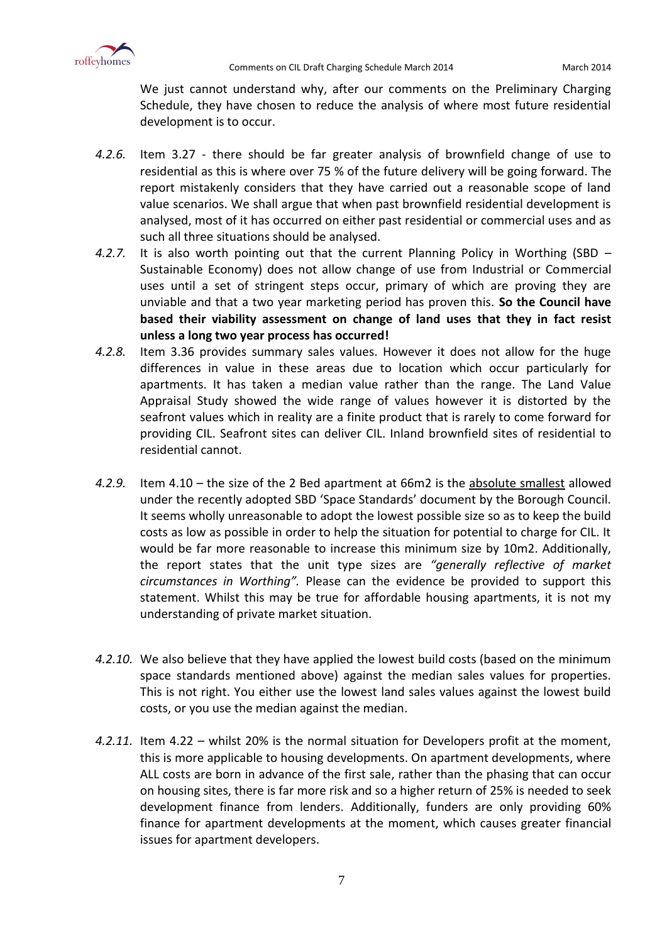

We just cannot understand why, after our comments on the Preliminary Charging Schedule, they have chosen to reduce the analysis of where most future residential development is to occur.

- *4.2.6.* Item 3.27 there should be far greater analysis of brownfield change of use to residential as this is where over 75 % of the future delivery will be going forward. The report mistakenly considers that they have carried out a reasonable scope of land value scenarios. We shall argue that when past brownfield residential development is analysed, most of it has occurred on either past residential or commercial uses and as such all three situations should be analysed.
- *4.2.7.* It is also worth pointing out that the current Planning Policy in Worthing (SBD Sustainable Economy) does not allow change of use from Industrial or Commercial uses until a set of stringent steps occur, primary of which are proving they are unviable and that a two year marketing period has proven this. **So the Council have based their viability assessment on change of land uses that they in fact resist unless a long two year process has occurred!**
- *4.2.8.* Item 3.36 provides summary sales values. However it does not allow for the huge differences in value in these areas due to location which occur particularly for apartments. It has taken a median value rather than the range. The Land Value Appraisal Study showed the wide range of values however it is distorted by the seafront values which in reality are a finite product that is rarely to come forward for providing CIL. Seafront sites can deliver CIL. Inland brownfield sites of residential to residential cannot.
- *4.2.9.* Item 4.10 the size of the 2 Bed apartment at 66m2 is the absolute smallest allowed under the recently adopted SBD 'Space Standards' document by the Borough Council. It seems wholly unreasonable to adopt the lowest possible size so as to keep the build costs as low as possible in order to help the situation for potential to charge for CIL. It would be far more reasonable to increase this minimum size by 10m2. Additionally, the report states that the unit type sizes are *"generally reflective of market circumstances in Worthing".* Please can the evidence be provided to support this statement. Whilst this may be true for affordable housing apartments, it is not my understanding of private market situation.
- *4.2.10.* We also believe that they have applied the lowest build costs (based on the minimum space standards mentioned above) against the median sales values for properties. This is not right. You either use the lowest land sales values against the lowest build costs, or you use the median against the median.
- *4.2.11.* Item 4.22 whilst 20% is the normal situation for Developers profit at the moment, this is more applicable to housing developments. On apartment developments, where ALL costs are born in advance of the first sale, rather than the phasing that can occur on housing sites, there is far more risk and so a higher return of 25% is needed to seek development finance from lenders. Additionally, funders are only providing 60% finance for apartment developments at the moment, which causes greater financial issues for apartment developers.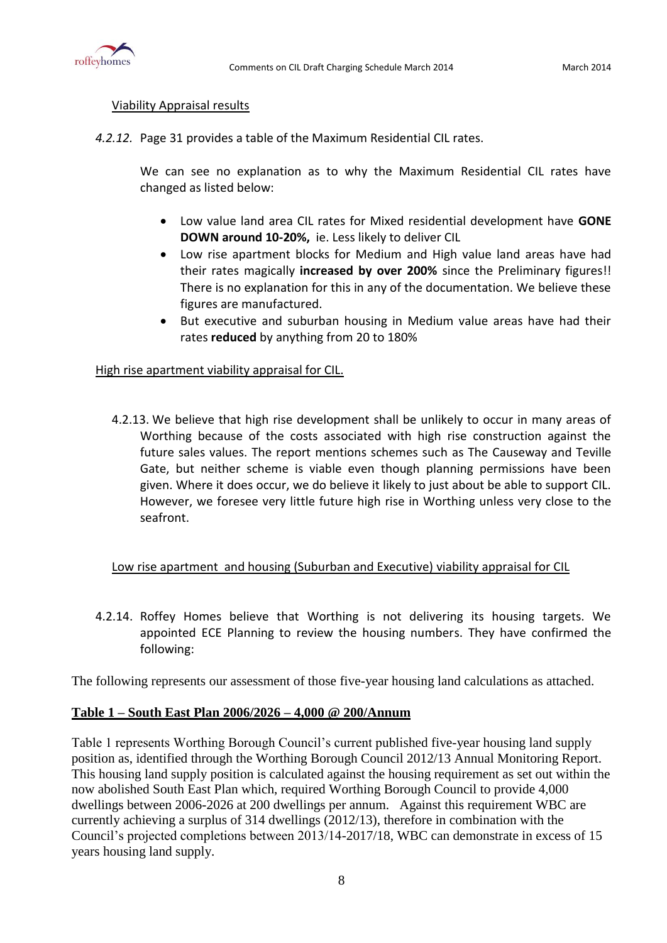

### Viability Appraisal results

*4.2.12.* Page 31 provides a table of the Maximum Residential CIL rates.

We can see no explanation as to why the Maximum Residential CIL rates have changed as listed below:

- Low value land area CIL rates for Mixed residential development have **GONE DOWN around 10-20%,** ie. Less likely to deliver CIL
- Low rise apartment blocks for Medium and High value land areas have had their rates magically **increased by over 200%** since the Preliminary figures!! There is no explanation for this in any of the documentation. We believe these figures are manufactured.
- But executive and suburban housing in Medium value areas have had their rates **reduced** by anything from 20 to 180%

# High rise apartment viability appraisal for CIL.

4.2.13. We believe that high rise development shall be unlikely to occur in many areas of Worthing because of the costs associated with high rise construction against the future sales values. The report mentions schemes such as The Causeway and Teville Gate, but neither scheme is viable even though planning permissions have been given. Where it does occur, we do believe it likely to just about be able to support CIL. However, we foresee very little future high rise in Worthing unless very close to the seafront.

# Low rise apartment and housing (Suburban and Executive) viability appraisal for CIL

4.2.14. Roffey Homes believe that Worthing is not delivering its housing targets. We appointed ECE Planning to review the housing numbers. They have confirmed the following:

The following represents our assessment of those five-year housing land calculations as attached.

# **Table 1 – South East Plan 2006/2026 – 4,000 @ 200/Annum**

Table 1 represents Worthing Borough Council's current published five-year housing land supply position as, identified through the Worthing Borough Council 2012/13 Annual Monitoring Report. This housing land supply position is calculated against the housing requirement as set out within the now abolished South East Plan which, required Worthing Borough Council to provide 4,000 dwellings between 2006-2026 at 200 dwellings per annum. Against this requirement WBC are currently achieving a surplus of 314 dwellings (2012/13), therefore in combination with the Council's projected completions between 2013/14-2017/18, WBC can demonstrate in excess of 15 years housing land supply.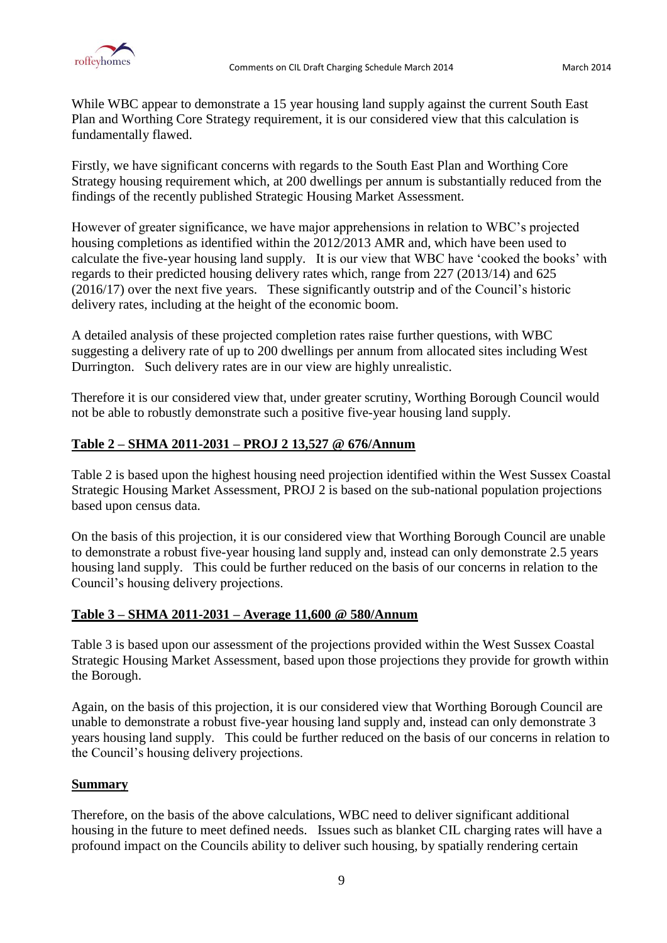

While WBC appear to demonstrate a 15 year housing land supply against the current South East Plan and Worthing Core Strategy requirement, it is our considered view that this calculation is fundamentally flawed.

Firstly, we have significant concerns with regards to the South East Plan and Worthing Core Strategy housing requirement which, at 200 dwellings per annum is substantially reduced from the findings of the recently published Strategic Housing Market Assessment.

However of greater significance, we have major apprehensions in relation to WBC's projected housing completions as identified within the 2012/2013 AMR and, which have been used to calculate the five-year housing land supply. It is our view that WBC have 'cooked the books' with regards to their predicted housing delivery rates which, range from 227 (2013/14) and 625 (2016/17) over the next five years. These significantly outstrip and of the Council's historic delivery rates, including at the height of the economic boom.

A detailed analysis of these projected completion rates raise further questions, with WBC suggesting a delivery rate of up to 200 dwellings per annum from allocated sites including West Durrington. Such delivery rates are in our view are highly unrealistic.

Therefore it is our considered view that, under greater scrutiny, Worthing Borough Council would not be able to robustly demonstrate such a positive five-year housing land supply.

# **Table 2 – SHMA 2011-2031 – PROJ 2 13,527 @ 676/Annum**

Table 2 is based upon the highest housing need projection identified within the West Sussex Coastal Strategic Housing Market Assessment, PROJ 2 is based on the sub-national population projections based upon census data.

On the basis of this projection, it is our considered view that Worthing Borough Council are unable to demonstrate a robust five-year housing land supply and, instead can only demonstrate 2.5 years housing land supply. This could be further reduced on the basis of our concerns in relation to the Council's housing delivery projections.

# **Table 3 – SHMA 2011-2031 – Average 11,600 @ 580/Annum**

Table 3 is based upon our assessment of the projections provided within the West Sussex Coastal Strategic Housing Market Assessment, based upon those projections they provide for growth within the Borough.

Again, on the basis of this projection, it is our considered view that Worthing Borough Council are unable to demonstrate a robust five-year housing land supply and, instead can only demonstrate 3 years housing land supply. This could be further reduced on the basis of our concerns in relation to the Council's housing delivery projections.

# **Summary**

Therefore, on the basis of the above calculations, WBC need to deliver significant additional housing in the future to meet defined needs. Issues such as blanket CIL charging rates will have a profound impact on the Councils ability to deliver such housing, by spatially rendering certain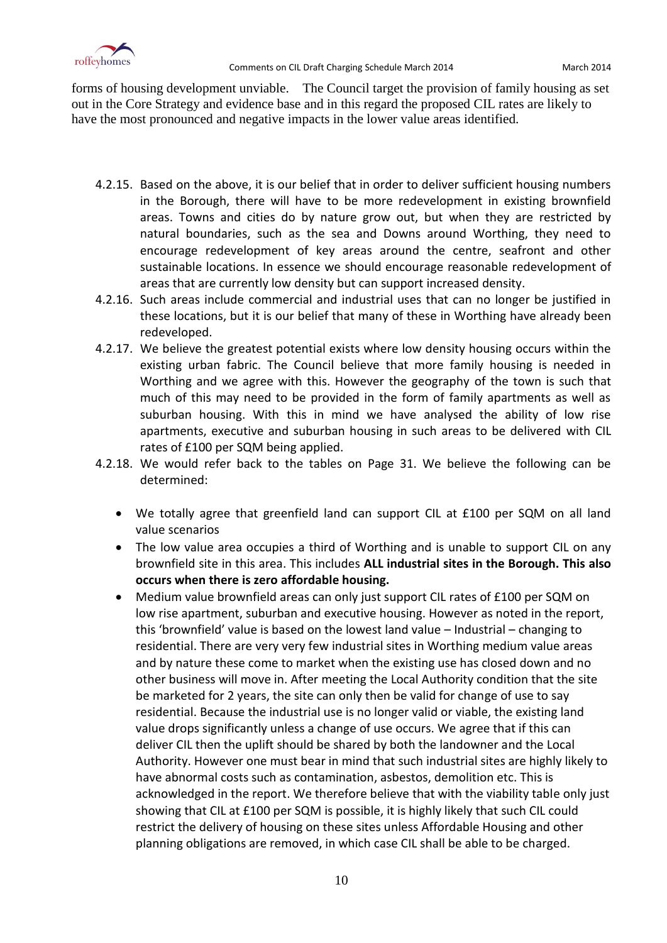

forms of housing development unviable. The Council target the provision of family housing as set out in the Core Strategy and evidence base and in this regard the proposed CIL rates are likely to have the most pronounced and negative impacts in the lower value areas identified.

- 4.2.15. Based on the above, it is our belief that in order to deliver sufficient housing numbers in the Borough, there will have to be more redevelopment in existing brownfield areas. Towns and cities do by nature grow out, but when they are restricted by natural boundaries, such as the sea and Downs around Worthing, they need to encourage redevelopment of key areas around the centre, seafront and other sustainable locations. In essence we should encourage reasonable redevelopment of areas that are currently low density but can support increased density.
- 4.2.16. Such areas include commercial and industrial uses that can no longer be justified in these locations, but it is our belief that many of these in Worthing have already been redeveloped.
- 4.2.17. We believe the greatest potential exists where low density housing occurs within the existing urban fabric. The Council believe that more family housing is needed in Worthing and we agree with this. However the geography of the town is such that much of this may need to be provided in the form of family apartments as well as suburban housing. With this in mind we have analysed the ability of low rise apartments, executive and suburban housing in such areas to be delivered with CIL rates of £100 per SQM being applied.
- 4.2.18. We would refer back to the tables on Page 31. We believe the following can be determined:
	- We totally agree that greenfield land can support CIL at £100 per SQM on all land value scenarios
	- The low value area occupies a third of Worthing and is unable to support CIL on any brownfield site in this area. This includes **ALL industrial sites in the Borough. This also occurs when there is zero affordable housing.**
	- Medium value brownfield areas can only just support CIL rates of £100 per SQM on low rise apartment, suburban and executive housing. However as noted in the report, this 'brownfield' value is based on the lowest land value – Industrial – changing to residential. There are very very few industrial sites in Worthing medium value areas and by nature these come to market when the existing use has closed down and no other business will move in. After meeting the Local Authority condition that the site be marketed for 2 years, the site can only then be valid for change of use to say residential. Because the industrial use is no longer valid or viable, the existing land value drops significantly unless a change of use occurs. We agree that if this can deliver CIL then the uplift should be shared by both the landowner and the Local Authority. However one must bear in mind that such industrial sites are highly likely to have abnormal costs such as contamination, asbestos, demolition etc. This is acknowledged in the report. We therefore believe that with the viability table only just showing that CIL at £100 per SQM is possible, it is highly likely that such CIL could restrict the delivery of housing on these sites unless Affordable Housing and other planning obligations are removed, in which case CIL shall be able to be charged.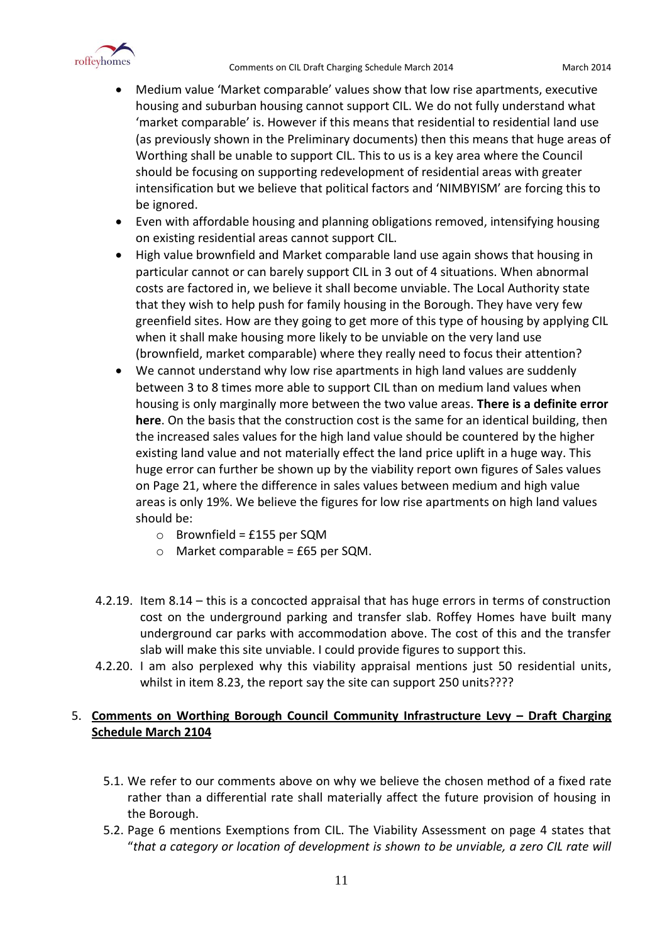

- Medium value 'Market comparable' values show that low rise apartments, executive housing and suburban housing cannot support CIL. We do not fully understand what 'market comparable' is. However if this means that residential to residential land use (as previously shown in the Preliminary documents) then this means that huge areas of Worthing shall be unable to support CIL. This to us is a key area where the Council should be focusing on supporting redevelopment of residential areas with greater intensification but we believe that political factors and 'NIMBYISM' are forcing this to be ignored.
- Even with affordable housing and planning obligations removed, intensifying housing on existing residential areas cannot support CIL.
- High value brownfield and Market comparable land use again shows that housing in particular cannot or can barely support CIL in 3 out of 4 situations. When abnormal costs are factored in, we believe it shall become unviable. The Local Authority state that they wish to help push for family housing in the Borough. They have very few greenfield sites. How are they going to get more of this type of housing by applying CIL when it shall make housing more likely to be unviable on the very land use (brownfield, market comparable) where they really need to focus their attention?
- We cannot understand why low rise apartments in high land values are suddenly between 3 to 8 times more able to support CIL than on medium land values when housing is only marginally more between the two value areas. **There is a definite error here**. On the basis that the construction cost is the same for an identical building, then the increased sales values for the high land value should be countered by the higher existing land value and not materially effect the land price uplift in a huge way. This huge error can further be shown up by the viability report own figures of Sales values on Page 21, where the difference in sales values between medium and high value areas is only 19%. We believe the figures for low rise apartments on high land values should be:
	- o Brownfield = £155 per SQM
	- $\circ$  Market comparable = £65 per SQM.
- 4.2.19. Item 8.14 this is a concocted appraisal that has huge errors in terms of construction cost on the underground parking and transfer slab. Roffey Homes have built many underground car parks with accommodation above. The cost of this and the transfer slab will make this site unviable. I could provide figures to support this.
- 4.2.20. I am also perplexed why this viability appraisal mentions just 50 residential units, whilst in item 8.23, the report say the site can support 250 units????

# 5. **Comments on Worthing Borough Council Community Infrastructure Levy – Draft Charging Schedule March 2104**

- 5.1. We refer to our comments above on why we believe the chosen method of a fixed rate rather than a differential rate shall materially affect the future provision of housing in the Borough.
- 5.2. Page 6 mentions Exemptions from CIL. The Viability Assessment on page 4 states that "*that a category or location of development is shown to be unviable, a zero CIL rate will*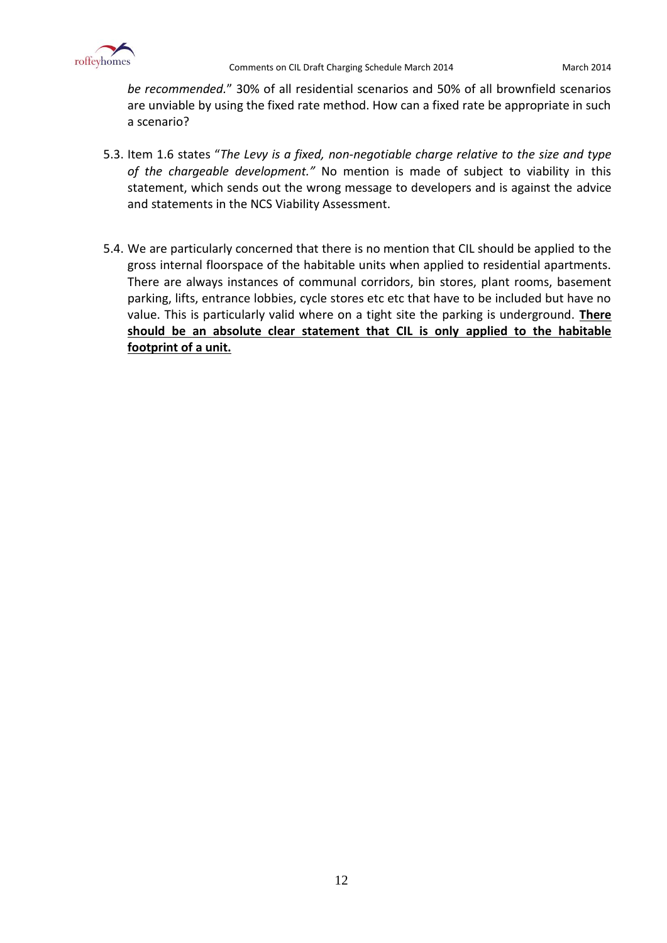

*be recommended.*" 30% of all residential scenarios and 50% of all brownfield scenarios are unviable by using the fixed rate method. How can a fixed rate be appropriate in such a scenario?

- 5.3. Item 1.6 states "*The Levy is a fixed, non-negotiable charge relative to the size and type of the chargeable development."* No mention is made of subject to viability in this statement, which sends out the wrong message to developers and is against the advice and statements in the NCS Viability Assessment.
- 5.4. We are particularly concerned that there is no mention that CIL should be applied to the gross internal floorspace of the habitable units when applied to residential apartments. There are always instances of communal corridors, bin stores, plant rooms, basement parking, lifts, entrance lobbies, cycle stores etc etc that have to be included but have no value. This is particularly valid where on a tight site the parking is underground. **There should be an absolute clear statement that CIL is only applied to the habitable footprint of a unit.**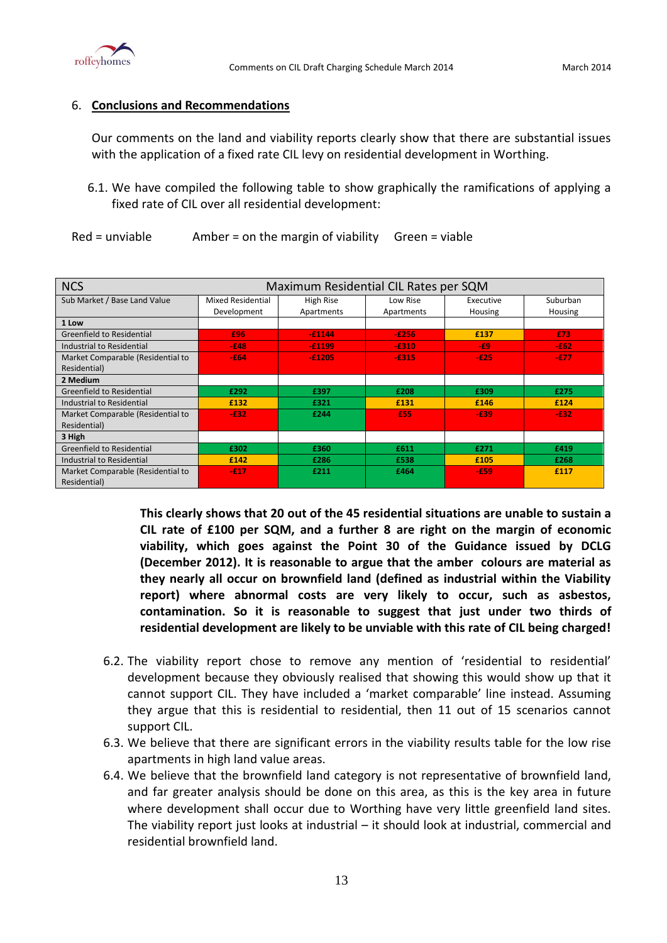

# 6. **Conclusions and Recommendations**

Our comments on the land and viability reports clearly show that there are substantial issues with the application of a fixed rate CIL levy on residential development in Worthing.

- 6.1. We have compiled the following table to show graphically the ramifications of applying a fixed rate of CIL over all residential development:
- $Red =$  unviable  $A$ mber = on the margin of viability  $G$ reen = viable

| <b>NCS</b>                        | Maximum Residential CIL Rates per SQM |            |            |           |          |  |  |
|-----------------------------------|---------------------------------------|------------|------------|-----------|----------|--|--|
| Sub Market / Base Land Value      | Mixed Residential                     | High Rise  | Low Rise   | Executive | Suburban |  |  |
|                                   | Development                           | Apartments | Apartments | Housing   | Housing  |  |  |
| 1 Low                             |                                       |            |            |           |          |  |  |
| Greenfield to Residential         | £96                                   | $-£1144$   | $-E256$    | £137      | £73      |  |  |
| Industrial to Residential         | $-648$                                | $-£1199$   | $-6310$    | $-E9$     | $-E62$   |  |  |
| Market Comparable (Residential to | $-E64$                                | $-£1205$   | $-6315$    | $-E25$    | -£77     |  |  |
| Residential)                      |                                       |            |            |           |          |  |  |
| 2 Medium                          |                                       |            |            |           |          |  |  |
| Greenfield to Residential         | £292                                  | £397       | £208       | £309      | £275     |  |  |
| Industrial to Residential         | £132                                  | £321       | £131       | £146      | £124     |  |  |
| Market Comparable (Residential to | $-632$                                | £244       | £55        | $-E39$    | $-632$   |  |  |
| Residential)                      |                                       |            |            |           |          |  |  |
| 3 High                            |                                       |            |            |           |          |  |  |
| <b>Greenfield to Residential</b>  | £302                                  | £360       | £611       | £271      | £419     |  |  |
| Industrial to Residential         | £142                                  | £286       | £538       | £105      | £268     |  |  |
| Market Comparable (Residential to | $-£17$                                | £211       | £464       | $-E59$    | £117     |  |  |
| Residential)                      |                                       |            |            |           |          |  |  |

**This clearly shows that 20 out of the 45 residential situations are unable to sustain a CIL rate of £100 per SQM, and a further 8 are right on the margin of economic viability, which goes against the Point 30 of the Guidance issued by DCLG (December 2012). It is reasonable to argue that the amber colours are material as they nearly all occur on brownfield land (defined as industrial within the Viability report) where abnormal costs are very likely to occur, such as asbestos, contamination. So it is reasonable to suggest that just under two thirds of residential development are likely to be unviable with this rate of CIL being charged!**

- 6.2. The viability report chose to remove any mention of 'residential to residential' development because they obviously realised that showing this would show up that it cannot support CIL. They have included a 'market comparable' line instead. Assuming they argue that this is residential to residential, then 11 out of 15 scenarios cannot support CIL.
- 6.3. We believe that there are significant errors in the viability results table for the low rise apartments in high land value areas.
- 6.4. We believe that the brownfield land category is not representative of brownfield land, and far greater analysis should be done on this area, as this is the key area in future where development shall occur due to Worthing have very little greenfield land sites. The viability report just looks at industrial – it should look at industrial, commercial and residential brownfield land.